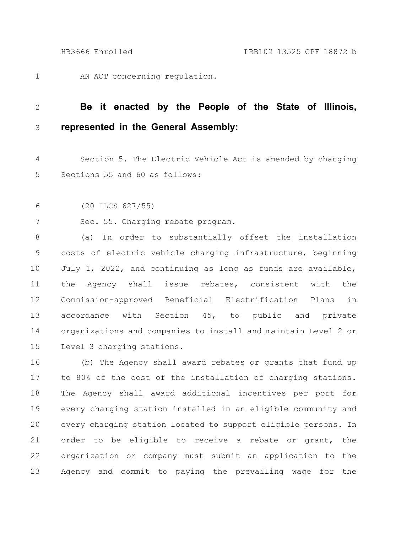AN ACT concerning regulation. 1

## **Be it enacted by the People of the State of Illinois, represented in the General Assembly:** 2 3

Section 5. The Electric Vehicle Act is amended by changing Sections 55 and 60 as follows: 4 5

(20 ILCS 627/55) 6

Sec. 55. Charging rebate program. 7

(a) In order to substantially offset the installation costs of electric vehicle charging infrastructure, beginning July 1, 2022, and continuing as long as funds are available, the Agency shall issue rebates, consistent with the Commission-approved Beneficial Electrification Plans in accordance with Section 45, to public and private organizations and companies to install and maintain Level 2 or Level 3 charging stations. 8 9 10 11 12 13 14 15

(b) The Agency shall award rebates or grants that fund up to 80% of the cost of the installation of charging stations. The Agency shall award additional incentives per port for every charging station installed in an eligible community and every charging station located to support eligible persons. In order to be eligible to receive a rebate or grant, the organization or company must submit an application to the Agency and commit to paying the prevailing wage for the 16 17 18 19 20 21 22 23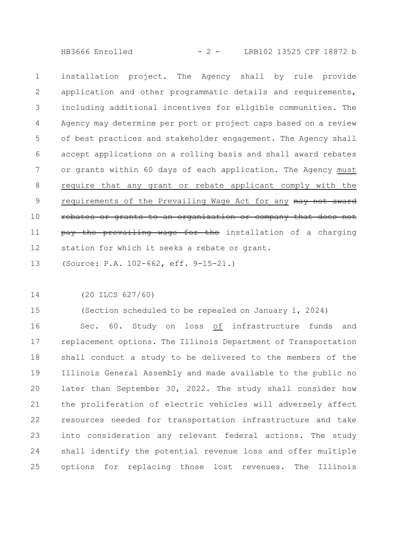HB3666 Enrolled - 2 - LRB102 13525 CPF 18872 b

installation project. The Agency shall by rule provide application and other programmatic details and requirements, including additional incentives for eligible communities. The Agency may determine per port or project caps based on a review of best practices and stakeholder engagement. The Agency shall accept applications on a rolling basis and shall award rebates or grants within 60 days of each application. The Agency must require that any grant or rebate applicant comply with the requirements of the Prevailing Wage Act for any may not award rebates or grants to an organization or company that does not pay the prevailing wage for the installation of a charging station for which it seeks a rebate or grant. 1 2 3 4 5 6 7 8 9 10 11 12

(Source: P.A. 102-662, eff. 9-15-21.) 13

(20 ILCS 627/60) 14

(Section scheduled to be repealed on January 1, 2024) 15

Sec. 60. Study on loss of infrastructure funds and replacement options. The Illinois Department of Transportation shall conduct a study to be delivered to the members of the Illinois General Assembly and made available to the public no later than September 30, 2022. The study shall consider how the proliferation of electric vehicles will adversely affect resources needed for transportation infrastructure and take into consideration any relevant federal actions. The study shall identify the potential revenue loss and offer multiple options for replacing those lost revenues. The Illinois 16 17 18 19 20 21 22 23 24 25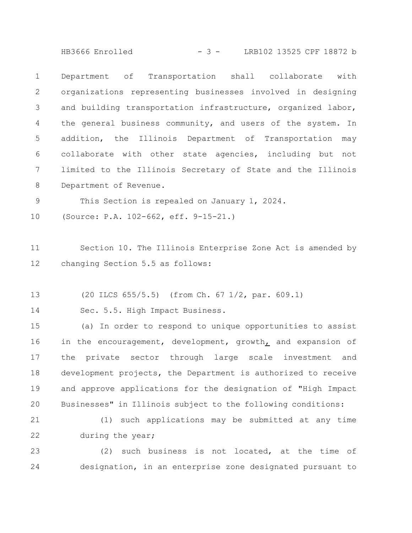HB3666 Enrolled - 3 - LRB102 13525 CPF 18872 b

Department of Transportation shall collaborate with organizations representing businesses involved in designing and building transportation infrastructure, organized labor, the general business community, and users of the system. In addition, the Illinois Department of Transportation may collaborate with other state agencies, including but not limited to the Illinois Secretary of State and the Illinois Department of Revenue. 1 2 3 4 5 6 7 8

This Section is repealed on January 1, 2024. 9

(Source: P.A. 102-662, eff. 9-15-21.) 10

Section 10. The Illinois Enterprise Zone Act is amended by changing Section 5.5 as follows: 11 12

(20 ILCS 655/5.5) (from Ch. 67 1/2, par. 609.1) 13

Sec. 5.5. High Impact Business. 14

(a) In order to respond to unique opportunities to assist in the encouragement, development, growth, and expansion of the private sector through large scale investment and development projects, the Department is authorized to receive and approve applications for the designation of "High Impact Businesses" in Illinois subject to the following conditions: 15 16 17 18 19 20

(1) such applications may be submitted at any time during the year; 21 22

(2) such business is not located, at the time of designation, in an enterprise zone designated pursuant to 23 24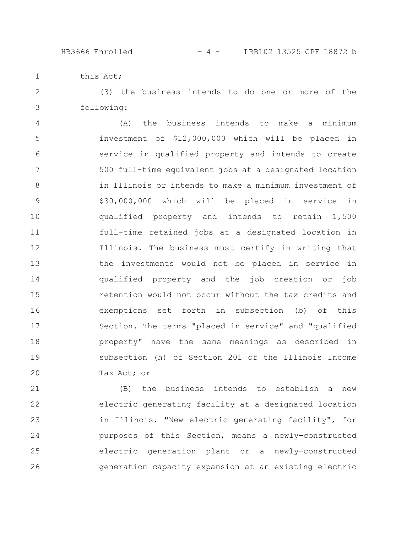HB3666 Enrolled - 4 - LRB102 13525 CPF 18872 b

this Act; 1

(3) the business intends to do one or more of the following: 2 3

(A) the business intends to make a minimum investment of \$12,000,000 which will be placed in service in qualified property and intends to create 500 full-time equivalent jobs at a designated location in Illinois or intends to make a minimum investment of \$30,000,000 which will be placed in service in qualified property and intends to retain 1,500 full-time retained jobs at a designated location in Illinois. The business must certify in writing that the investments would not be placed in service in qualified property and the job creation or job retention would not occur without the tax credits and exemptions set forth in subsection (b) of this Section. The terms "placed in service" and "qualified property" have the same meanings as described in subsection (h) of Section 201 of the Illinois Income Tax Act; or 4 5 6 7 8 9 10 11 12 13 14 15 16 17 18 19 20

(B) the business intends to establish a new electric generating facility at a designated location in Illinois. "New electric generating facility", for purposes of this Section, means a newly-constructed electric generation plant or a newly-constructed generation capacity expansion at an existing electric 21 22 23 24 25 26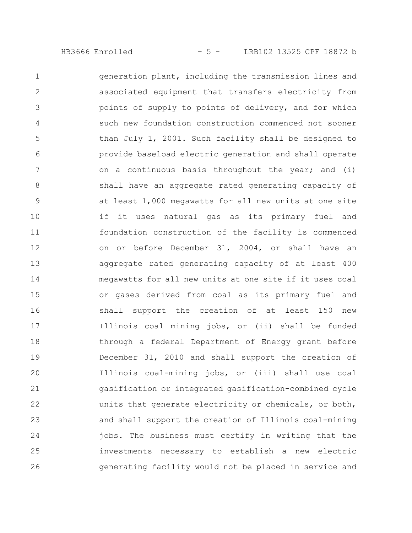generation plant, including the transmission lines and associated equipment that transfers electricity from points of supply to points of delivery, and for which such new foundation construction commenced not sooner than July 1, 2001. Such facility shall be designed to provide baseload electric generation and shall operate on a continuous basis throughout the year; and (i) shall have an aggregate rated generating capacity of at least 1,000 megawatts for all new units at one site if it uses natural gas as its primary fuel and foundation construction of the facility is commenced on or before December 31, 2004, or shall have an aggregate rated generating capacity of at least 400 megawatts for all new units at one site if it uses coal or gases derived from coal as its primary fuel and shall support the creation of at least 150 new Illinois coal mining jobs, or (ii) shall be funded through a federal Department of Energy grant before December 31, 2010 and shall support the creation of Illinois coal-mining jobs, or (iii) shall use coal gasification or integrated gasification-combined cycle units that generate electricity or chemicals, or both, and shall support the creation of Illinois coal-mining jobs. The business must certify in writing that the investments necessary to establish a new electric generating facility would not be placed in service and 1 2 3 4 5 6 7 8 9 10 11 12 13 14 15 16 17 18 19 20 21 22 23 24 25 26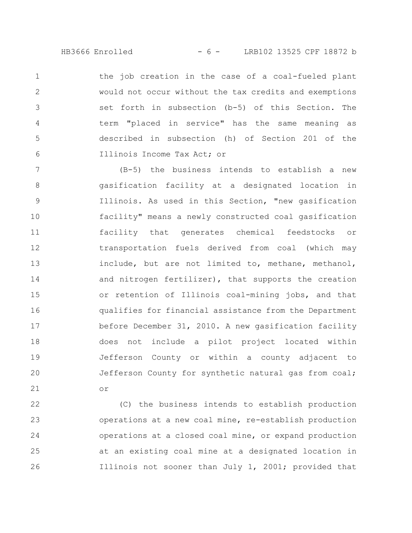HB3666 Enrolled - 6 - LRB102 13525 CPF 18872 b

the job creation in the case of a coal-fueled plant would not occur without the tax credits and exemptions set forth in subsection (b-5) of this Section. The term "placed in service" has the same meaning as described in subsection (h) of Section 201 of the Illinois Income Tax Act; or 1 2 3 4 5 6

(B-5) the business intends to establish a new gasification facility at a designated location in Illinois. As used in this Section, "new gasification facility" means a newly constructed coal gasification facility that generates chemical feedstocks or transportation fuels derived from coal (which may include, but are not limited to, methane, methanol, and nitrogen fertilizer), that supports the creation or retention of Illinois coal-mining jobs, and that qualifies for financial assistance from the Department before December 31, 2010. A new gasification facility does not include a pilot project located within Jefferson County or within a county adjacent to Jefferson County for synthetic natural gas from coal; or 7 8 9 10 11 12 13 14 15 16 17 18 19 20 21

(C) the business intends to establish production operations at a new coal mine, re-establish production operations at a closed coal mine, or expand production at an existing coal mine at a designated location in Illinois not sooner than July 1, 2001; provided that 22 23 24 25 26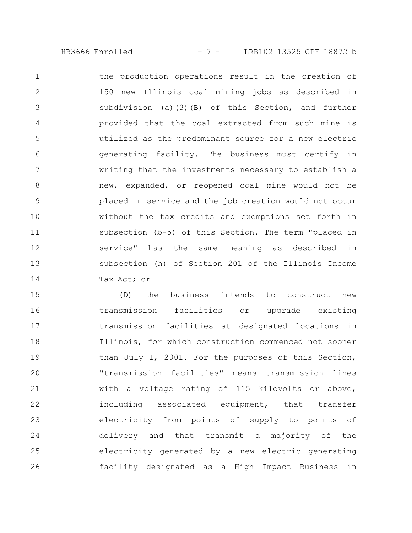HB3666 Enrolled - 7 - LRB102 13525 CPF 18872 b

the production operations result in the creation of 150 new Illinois coal mining jobs as described in subdivision (a)(3)(B) of this Section, and further provided that the coal extracted from such mine is utilized as the predominant source for a new electric generating facility. The business must certify in writing that the investments necessary to establish a new, expanded, or reopened coal mine would not be placed in service and the job creation would not occur without the tax credits and exemptions set forth in subsection (b-5) of this Section. The term "placed in service" has the same meaning as described in subsection (h) of Section 201 of the Illinois Income Tax Act; or 1 2 3 4 5 6 7 8 9 10 11 12 13 14

(D) the business intends to construct new transmission facilities or upgrade existing transmission facilities at designated locations in Illinois, for which construction commenced not sooner than July 1, 2001. For the purposes of this Section, "transmission facilities" means transmission lines with a voltage rating of 115 kilovolts or above, including associated equipment, that transfer electricity from points of supply to points of delivery and that transmit a majority of the electricity generated by a new electric generating facility designated as a High Impact Business in 15 16 17 18 19 20 21 22 23 24 25 26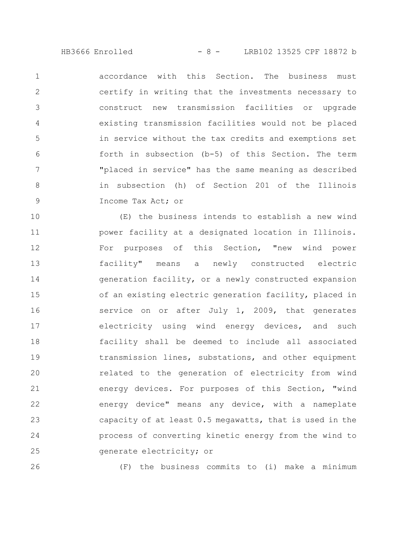HB3666 Enrolled - 8 - LRB102 13525 CPF 18872 b

accordance with this Section. The business must certify in writing that the investments necessary to construct new transmission facilities or upgrade existing transmission facilities would not be placed in service without the tax credits and exemptions set forth in subsection (b-5) of this Section. The term "placed in service" has the same meaning as described in subsection (h) of Section 201 of the Illinois Income Tax Act; or 1 2 3 4 5 6 7 8 9

(E) the business intends to establish a new wind power facility at a designated location in Illinois. For purposes of this Section, "new wind power facility" means a newly constructed electric generation facility, or a newly constructed expansion of an existing electric generation facility, placed in service on or after July 1, 2009, that generates electricity using wind energy devices, and such facility shall be deemed to include all associated transmission lines, substations, and other equipment related to the generation of electricity from wind energy devices. For purposes of this Section, "wind energy device" means any device, with a nameplate capacity of at least 0.5 megawatts, that is used in the process of converting kinetic energy from the wind to generate electricity; or 10 11 12 13 14 15 16 17 18 19 20 21 22 23 24 25

26

(F) the business commits to (i) make a minimum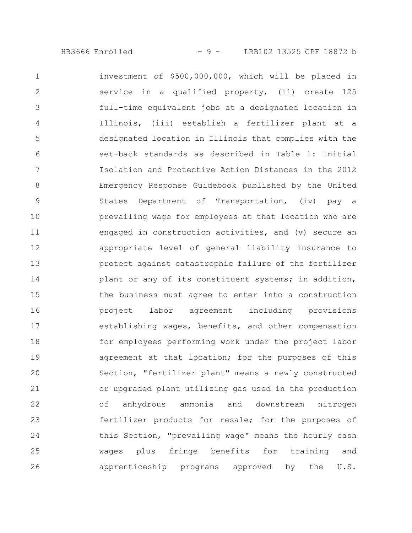investment of \$500,000,000, which will be placed in service in a qualified property, (ii) create 125 full-time equivalent jobs at a designated location in Illinois, (iii) establish a fertilizer plant at a designated location in Illinois that complies with the set-back standards as described in Table 1: Initial Isolation and Protective Action Distances in the 2012 Emergency Response Guidebook published by the United States Department of Transportation, (iv) pay a prevailing wage for employees at that location who are engaged in construction activities, and (v) secure an appropriate level of general liability insurance to protect against catastrophic failure of the fertilizer plant or any of its constituent systems; in addition, the business must agree to enter into a construction project labor agreement including provisions establishing wages, benefits, and other compensation for employees performing work under the project labor agreement at that location; for the purposes of this Section, "fertilizer plant" means a newly constructed or upgraded plant utilizing gas used in the production of anhydrous ammonia and downstream nitrogen fertilizer products for resale; for the purposes of this Section, "prevailing wage" means the hourly cash wages plus fringe benefits for training and apprenticeship programs approved by the U.S. 1 2 3 4 5 6 7 8 9 10 11 12 13 14 15 16 17 18 19 20 21 22 23 24 25 26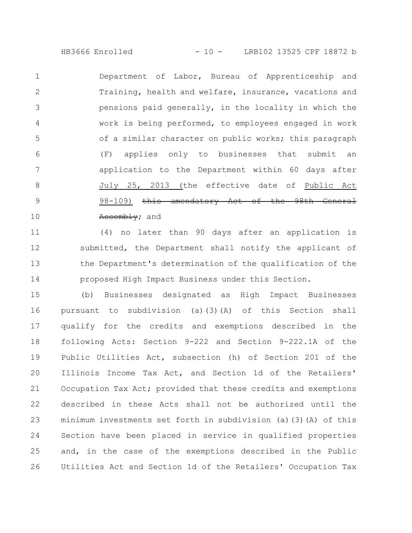HB3666 Enrolled - 10 - LRB102 13525 CPF 18872 b

Department of Labor, Bureau of Apprenticeship and Training, health and welfare, insurance, vacations and pensions paid generally, in the locality in which the work is being performed, to employees engaged in work of a similar character on public works; this paragraph (F) applies only to businesses that submit an application to the Department within 60 days after July 25, 2013 (the effective date of Public Act 98-109) this amendatory Act of the 98th General Assembly; and 1 2 3 4 5 6 7 8 9 10

(4) no later than 90 days after an application is submitted, the Department shall notify the applicant of the Department's determination of the qualification of the proposed High Impact Business under this Section. 11 12 13 14

(b) Businesses designated as High Impact Businesses pursuant to subdivision (a)(3)(A) of this Section shall qualify for the credits and exemptions described in the following Acts: Section 9-222 and Section 9-222.1A of the Public Utilities Act, subsection (h) of Section 201 of the Illinois Income Tax Act, and Section 1d of the Retailers' Occupation Tax Act; provided that these credits and exemptions described in these Acts shall not be authorized until the minimum investments set forth in subdivision (a)(3)(A) of this Section have been placed in service in qualified properties and, in the case of the exemptions described in the Public Utilities Act and Section 1d of the Retailers' Occupation Tax 15 16 17 18 19 20 21 22 23 24 25 26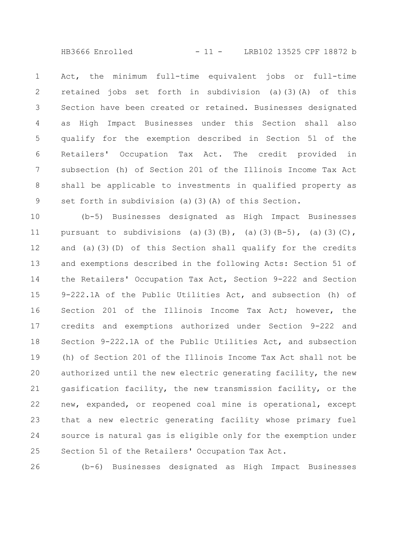HB3666 Enrolled - 11 - LRB102 13525 CPF 18872 b

Act, the minimum full-time equivalent jobs or full-time retained jobs set forth in subdivision (a)(3)(A) of this Section have been created or retained. Businesses designated as High Impact Businesses under this Section shall also qualify for the exemption described in Section 5l of the Retailers' Occupation Tax Act. The credit provided in subsection (h) of Section 201 of the Illinois Income Tax Act shall be applicable to investments in qualified property as set forth in subdivision (a)(3)(A) of this Section. 1 2 3 4 5 6 7 8 9

(b-5) Businesses designated as High Impact Businesses pursuant to subdivisions (a)(3)(B), (a)(3)(B-5), (a)(3)(C), and (a)(3)(D) of this Section shall qualify for the credits and exemptions described in the following Acts: Section 51 of the Retailers' Occupation Tax Act, Section 9-222 and Section 9-222.1A of the Public Utilities Act, and subsection (h) of Section 201 of the Illinois Income Tax Act; however, the credits and exemptions authorized under Section 9-222 and Section 9-222.1A of the Public Utilities Act, and subsection (h) of Section 201 of the Illinois Income Tax Act shall not be authorized until the new electric generating facility, the new gasification facility, the new transmission facility, or the new, expanded, or reopened coal mine is operational, except that a new electric generating facility whose primary fuel source is natural gas is eligible only for the exemption under Section 5l of the Retailers' Occupation Tax Act. 10 11 12 13 14 15 16 17 18 19 20 21 22 23 24 25

(b-6) Businesses designated as High Impact Businesses 26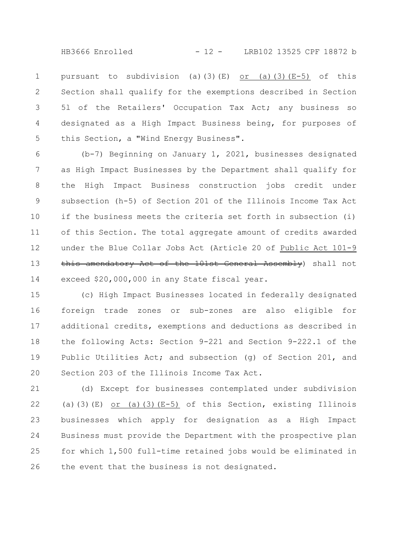HB3666 Enrolled - 12 - LRB102 13525 CPF 18872 b

pursuant to subdivision (a)(3)(E) or (a)(3)(E-5) of this Section shall qualify for the exemptions described in Section 5l of the Retailers' Occupation Tax Act; any business so designated as a High Impact Business being, for purposes of this Section, a "Wind Energy Business". 1 2 3 4 5

(b-7) Beginning on January 1, 2021, businesses designated as High Impact Businesses by the Department shall qualify for the High Impact Business construction jobs credit under subsection (h-5) of Section 201 of the Illinois Income Tax Act if the business meets the criteria set forth in subsection (i) of this Section. The total aggregate amount of credits awarded under the Blue Collar Jobs Act (Article 20 of Public Act 101-9 this amendatory Act of the 101st General Assembly) shall not exceed \$20,000,000 in any State fiscal year. 6 7 8 9 10 11 12 13 14

(c) High Impact Businesses located in federally designated foreign trade zones or sub-zones are also eligible for additional credits, exemptions and deductions as described in the following Acts: Section 9-221 and Section 9-222.1 of the Public Utilities Act; and subsection (g) of Section 201, and Section 203 of the Illinois Income Tax Act. 15 16 17 18 19 20

(d) Except for businesses contemplated under subdivision (a)(3)(E) or (a)(3)(E-5) of this Section, existing Illinois businesses which apply for designation as a High Impact Business must provide the Department with the prospective plan for which 1,500 full-time retained jobs would be eliminated in the event that the business is not designated. 21 22 23 24 25 26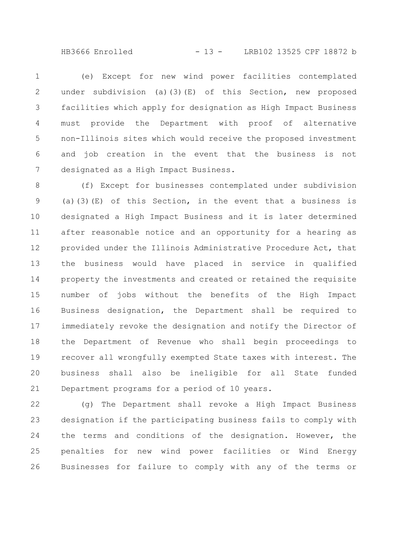HB3666 Enrolled - 13 - LRB102 13525 CPF 18872 b

(e) Except for new wind power facilities contemplated under subdivision (a)(3)(E) of this Section, new proposed facilities which apply for designation as High Impact Business must provide the Department with proof of alternative non-Illinois sites which would receive the proposed investment and job creation in the event that the business is not designated as a High Impact Business. 1 2 3 4 5 6 7

(f) Except for businesses contemplated under subdivision (a)(3)(E) of this Section, in the event that a business is designated a High Impact Business and it is later determined after reasonable notice and an opportunity for a hearing as provided under the Illinois Administrative Procedure Act, that the business would have placed in service in qualified property the investments and created or retained the requisite number of jobs without the benefits of the High Impact Business designation, the Department shall be required to immediately revoke the designation and notify the Director of the Department of Revenue who shall begin proceedings to recover all wrongfully exempted State taxes with interest. The business shall also be ineligible for all State funded Department programs for a period of 10 years. 8 9 10 11 12 13 14 15 16 17 18 19 20 21

(g) The Department shall revoke a High Impact Business designation if the participating business fails to comply with the terms and conditions of the designation. However, the penalties for new wind power facilities or Wind Energy Businesses for failure to comply with any of the terms or 22 23 24 25 26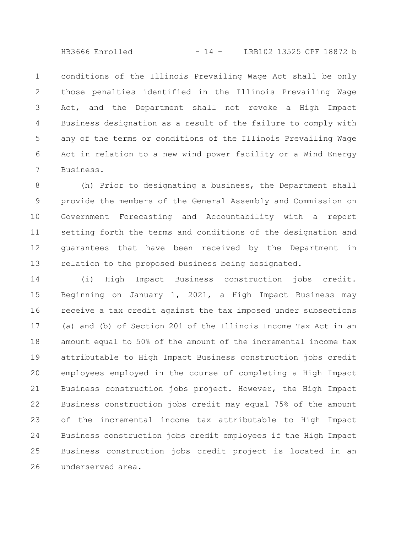HB3666 Enrolled - 14 - LRB102 13525 CPF 18872 b

conditions of the Illinois Prevailing Wage Act shall be only those penalties identified in the Illinois Prevailing Wage Act, and the Department shall not revoke a High Impact Business designation as a result of the failure to comply with any of the terms or conditions of the Illinois Prevailing Wage Act in relation to a new wind power facility or a Wind Energy Business. 1 2 3 4 5 6 7

(h) Prior to designating a business, the Department shall provide the members of the General Assembly and Commission on Government Forecasting and Accountability with a report setting forth the terms and conditions of the designation and guarantees that have been received by the Department in relation to the proposed business being designated. 8 9 10 11 12 13

(i) High Impact Business construction jobs credit. Beginning on January 1, 2021, a High Impact Business may receive a tax credit against the tax imposed under subsections (a) and (b) of Section 201 of the Illinois Income Tax Act in an amount equal to 50% of the amount of the incremental income tax attributable to High Impact Business construction jobs credit employees employed in the course of completing a High Impact Business construction jobs project. However, the High Impact Business construction jobs credit may equal 75% of the amount of the incremental income tax attributable to High Impact Business construction jobs credit employees if the High Impact Business construction jobs credit project is located in an underserved area. 14 15 16 17 18 19 20 21 22 23 24 25 26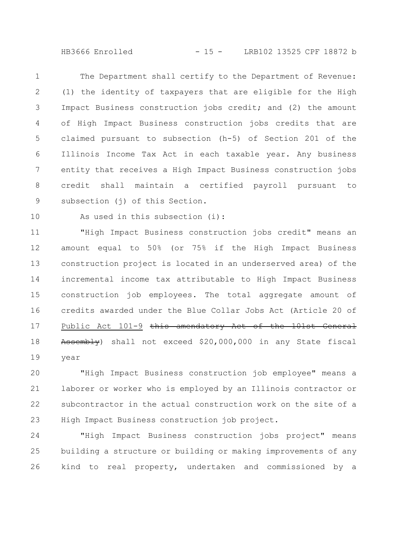HB3666 Enrolled - 15 - LRB102 13525 CPF 18872 b

The Department shall certify to the Department of Revenue: (1) the identity of taxpayers that are eligible for the High Impact Business construction jobs credit; and (2) the amount of High Impact Business construction jobs credits that are claimed pursuant to subsection (h-5) of Section 201 of the Illinois Income Tax Act in each taxable year. Any business entity that receives a High Impact Business construction jobs credit shall maintain a certified payroll pursuant to subsection (i) of this Section. 1 2 3 4 5 6 7 8 9

10

As used in this subsection (i):

"High Impact Business construction jobs credit" means an amount equal to 50% (or 75% if the High Impact Business construction project is located in an underserved area) of the incremental income tax attributable to High Impact Business construction job employees. The total aggregate amount of credits awarded under the Blue Collar Jobs Act (Article 20 of Public Act 101-9 this amendatory Act of the 101st General Assembly) shall not exceed \$20,000,000 in any State fiscal year 11 12 13 14 15 16 17 18 19

"High Impact Business construction job employee" means a laborer or worker who is employed by an Illinois contractor or subcontractor in the actual construction work on the site of a High Impact Business construction job project. 20 21 22 23

"High Impact Business construction jobs project" means building a structure or building or making improvements of any kind to real property, undertaken and commissioned by a 24 25 26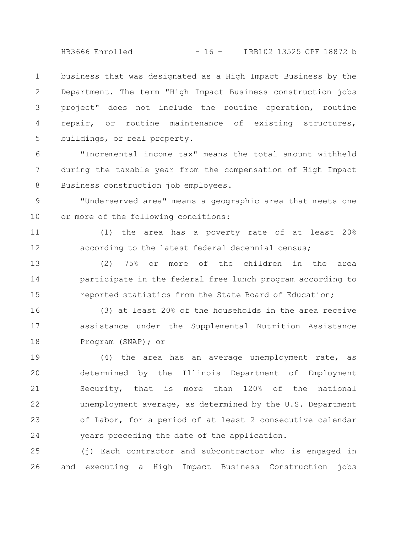HB3666 Enrolled - 16 - LRB102 13525 CPF 18872 b

business that was designated as a High Impact Business by the Department. The term "High Impact Business construction jobs project" does not include the routine operation, routine repair, or routine maintenance of existing structures, buildings, or real property. 1 2 3 4 5

"Incremental income tax" means the total amount withheld during the taxable year from the compensation of High Impact Business construction job employees. 6 7 8

"Underserved area" means a geographic area that meets one or more of the following conditions: 9 10

(1) the area has a poverty rate of at least 20% according to the latest federal decennial census; 11 12

(2) 75% or more of the children in the area participate in the federal free lunch program according to reported statistics from the State Board of Education; 13 14 15

(3) at least 20% of the households in the area receive assistance under the Supplemental Nutrition Assistance Program (SNAP); or 16 17 18

(4) the area has an average unemployment rate, as determined by the Illinois Department of Employment Security, that is more than 120% of the national unemployment average, as determined by the U.S. Department of Labor, for a period of at least 2 consecutive calendar years preceding the date of the application. 19 20 21 22 23 24

(j) Each contractor and subcontractor who is engaged in and executing a High Impact Business Construction jobs 25 26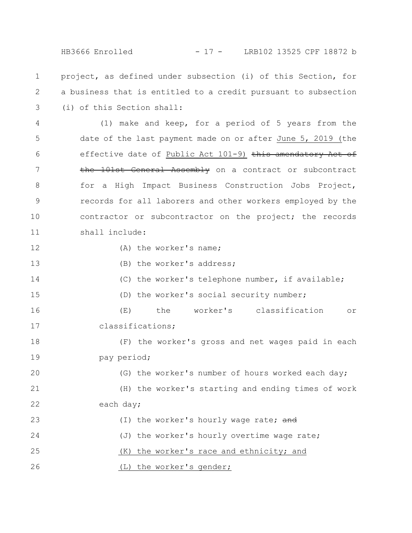HB3666 Enrolled - 17 - LRB102 13525 CPF 18872 b

project, as defined under subsection (i) of this Section, for a business that is entitled to a credit pursuant to subsection (i) of this Section shall: 1 2 3

(1) make and keep, for a period of 5 years from the date of the last payment made on or after June 5, 2019 (the effective date of Public Act 101-9) this amendatory Act of the 101st General Assembly on a contract or subcontract for a High Impact Business Construction Jobs Project, records for all laborers and other workers employed by the contractor or subcontractor on the project; the records shall include: 4 5 6 7 8 9 10 11

12

14

(A) the worker's name;

(B) the worker's address; 13

(C) the worker's telephone number, if available;

(D) the worker's social security number; 15

(E) the worker's classification or classifications; 16 17

(F) the worker's gross and net wages paid in each pay period; 18 19

(G) the worker's number of hours worked each day; (H) the worker's starting and ending times of work each day; (I) the worker's hourly wage rate; and 20 21 22 23

(J) the worker's hourly overtime wage rate; 24

(K) the worker's race and ethnicity; and 25

(L) the worker's gender; 26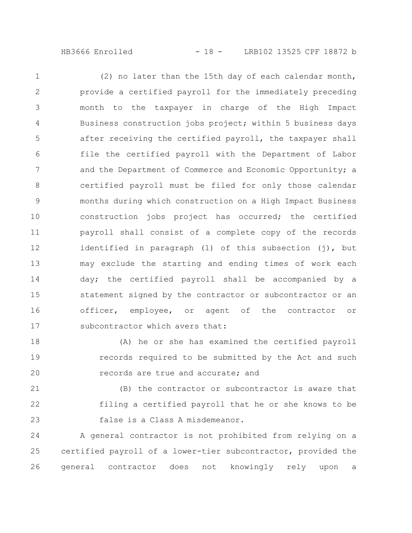(2) no later than the 15th day of each calendar month, provide a certified payroll for the immediately preceding month to the taxpayer in charge of the High Impact Business construction jobs project; within 5 business days after receiving the certified payroll, the taxpayer shall file the certified payroll with the Department of Labor and the Department of Commerce and Economic Opportunity; a certified payroll must be filed for only those calendar months during which construction on a High Impact Business construction jobs project has occurred; the certified payroll shall consist of a complete copy of the records identified in paragraph (1) of this subsection (j), but may exclude the starting and ending times of work each day; the certified payroll shall be accompanied by a statement signed by the contractor or subcontractor or an officer, employee, or agent of the contractor or subcontractor which avers that: 1 2 3 4 5 6 7 8 9 10 11 12 13 14 15 16 17

(A) he or she has examined the certified payroll records required to be submitted by the Act and such records are true and accurate; and 18 19 20

(B) the contractor or subcontractor is aware that filing a certified payroll that he or she knows to be false is a Class A misdemeanor. 21 22 23

A general contractor is not prohibited from relying on a certified payroll of a lower-tier subcontractor, provided the general contractor does not knowingly rely upon a 24 25 26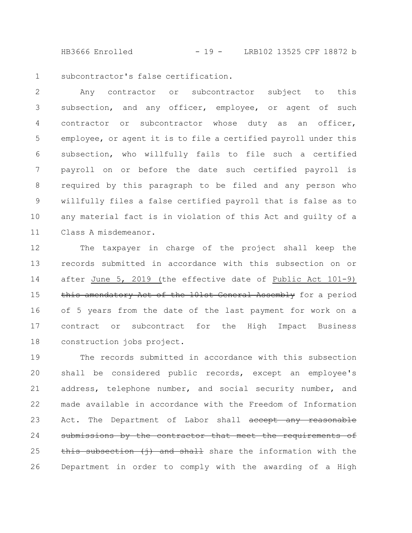HB3666 Enrolled - 19 - LRB102 13525 CPF 18872 b

subcontractor's false certification. 1

Any contractor or subcontractor subject to this subsection, and any officer, employee, or agent of such contractor or subcontractor whose duty as an officer, employee, or agent it is to file a certified payroll under this subsection, who willfully fails to file such a certified payroll on or before the date such certified payroll is required by this paragraph to be filed and any person who willfully files a false certified payroll that is false as to any material fact is in violation of this Act and guilty of a Class A misdemeanor. 2 3 4 5 6 7 8 9 10 11

The taxpayer in charge of the project shall keep the records submitted in accordance with this subsection on or after June 5, 2019 (the effective date of Public Act 101-9) this amendatory Act of the 101st General Assembly for a period of 5 years from the date of the last payment for work on a contract or subcontract for the High Impact Business construction jobs project. 12 13 14 15 16 17 18

The records submitted in accordance with this subsection shall be considered public records, except an employee's address, telephone number, and social security number, and made available in accordance with the Freedom of Information Act. The Department of Labor shall accept any reasonable submissions by the contractor that meet the requirements of this subsection (i) and shall share the information with the Department in order to comply with the awarding of a High 19 20 21 22 23 24 25 26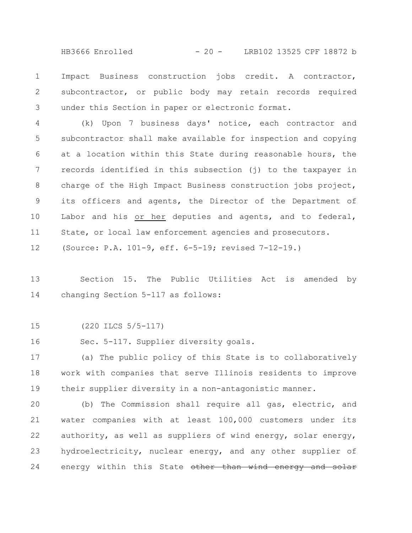HB3666 Enrolled - 20 - LRB102 13525 CPF 18872 b

Impact Business construction jobs credit. A contractor, subcontractor, or public body may retain records required under this Section in paper or electronic format. 1 2 3

(k) Upon 7 business days' notice, each contractor and subcontractor shall make available for inspection and copying at a location within this State during reasonable hours, the records identified in this subsection (j) to the taxpayer in charge of the High Impact Business construction jobs project, its officers and agents, the Director of the Department of Labor and his or her deputies and agents, and to federal, State, or local law enforcement agencies and prosecutors. (Source: P.A. 101-9, eff. 6-5-19; revised 7-12-19.) 4 5 6 7 8 9 10 11 12

Section 15. The Public Utilities Act is amended by changing Section 5-117 as follows: 13 14

(220 ILCS 5/5-117) 15

Sec. 5-117. Supplier diversity goals. 16

(a) The public policy of this State is to collaboratively work with companies that serve Illinois residents to improve their supplier diversity in a non-antagonistic manner. 17 18 19

(b) The Commission shall require all gas, electric, and water companies with at least 100,000 customers under its authority, as well as suppliers of wind energy, solar energy, hydroelectricity, nuclear energy, and any other supplier of energy within this State other than wind energy and 20 21 22 23 24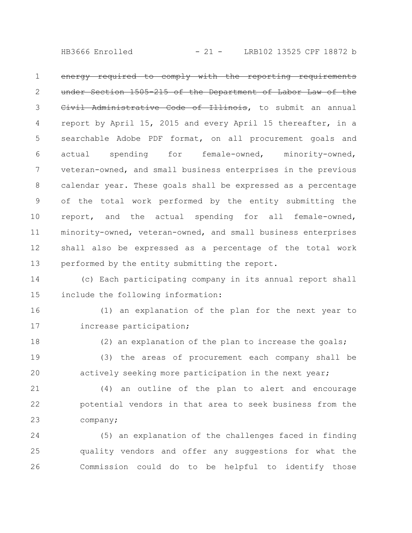HB3666 Enrolled - 21 - LRB102 13525 CPF 18872 b

energy required to comply with the reporting requirements under Section 1505-215 of the Department of Labor Law of the Civil Administrative Code of Illinois, to submit an annual report by April 15, 2015 and every April 15 thereafter, in a searchable Adobe PDF format, on all procurement goals and actual spending for female-owned, minority-owned, veteran-owned, and small business enterprises in the previous calendar year. These goals shall be expressed as a percentage of the total work performed by the entity submitting the report, and the actual spending for all female-owned, minority-owned, veteran-owned, and small business enterprises shall also be expressed as a percentage of the total work performed by the entity submitting the report. 1 2 3 4 5 6 7 8 9 10 11 12 13

(c) Each participating company in its annual report shall include the following information: 14 15

(1) an explanation of the plan for the next year to increase participation; 16 17

18

(2) an explanation of the plan to increase the goals;

(3) the areas of procurement each company shall be actively seeking more participation in the next year; 19 20

(4) an outline of the plan to alert and encourage potential vendors in that area to seek business from the company; 21 22 23

(5) an explanation of the challenges faced in finding quality vendors and offer any suggestions for what the Commission could do to be helpful to identify those 24 25 26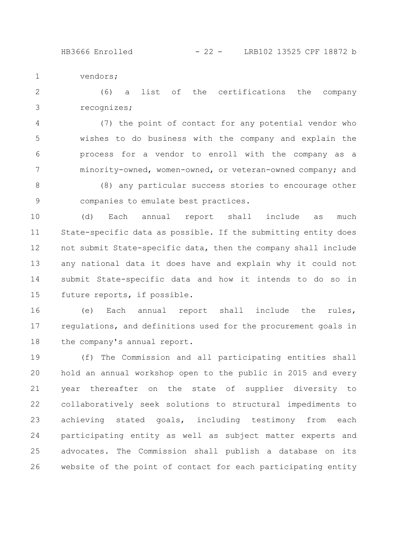vendors; 1

(6) a list of the certifications the company recognizes; 2 3

(7) the point of contact for any potential vendor who wishes to do business with the company and explain the process for a vendor to enroll with the company as a minority-owned, women-owned, or veteran-owned company; and 4 5 6 7

(8) any particular success stories to encourage other companies to emulate best practices. 8 9

(d) Each annual report shall include as much State-specific data as possible. If the submitting entity does not submit State-specific data, then the company shall include any national data it does have and explain why it could not submit State-specific data and how it intends to do so in future reports, if possible. 10 11 12 13 14 15

(e) Each annual report shall include the rules, regulations, and definitions used for the procurement goals in the company's annual report. 16 17 18

(f) The Commission and all participating entities shall hold an annual workshop open to the public in 2015 and every year thereafter on the state of supplier diversity to collaboratively seek solutions to structural impediments to achieving stated goals, including testimony from each participating entity as well as subject matter experts and advocates. The Commission shall publish a database on its website of the point of contact for each participating entity 19 20 21 22 23 24 25 26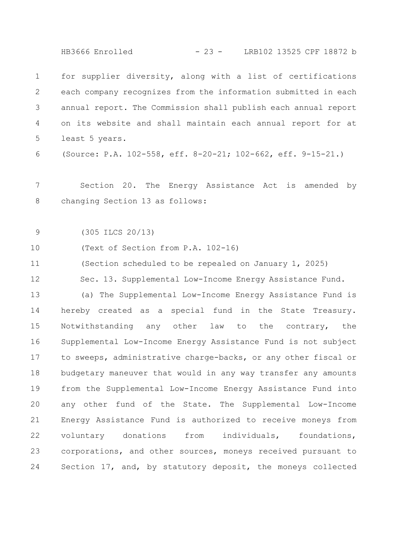HB3666 Enrolled - 23 - LRB102 13525 CPF 18872 b

for supplier diversity, along with a list of certifications each company recognizes from the information submitted in each annual report. The Commission shall publish each annual report on its website and shall maintain each annual report for at least 5 years. (Source: P.A. 102-558, eff. 8-20-21; 102-662, eff. 9-15-21.) Section 20. The Energy Assistance Act is amended by changing Section 13 as follows: (305 ILCS 20/13) (Text of Section from P.A. 102-16) (Section scheduled to be repealed on January 1, 2025) Sec. 13. Supplemental Low-Income Energy Assistance Fund. (a) The Supplemental Low-Income Energy Assistance Fund is hereby created as a special fund in the State Treasury. Notwithstanding any other law to the contrary, the Supplemental Low-Income Energy Assistance Fund is not subject to sweeps, administrative charge-backs, or any other fiscal or budgetary maneuver that would in any way transfer any amounts from the Supplemental Low-Income Energy Assistance Fund into any other fund of the State. The Supplemental Low-Income Energy Assistance Fund is authorized to receive moneys from voluntary donations from individuals, foundations, corporations, and other sources, moneys received pursuant to Section 17, and, by statutory deposit, the moneys collected 1 2 3 4 5 6 7 8 9 10 11 12 13 14 15 16 17 18 19 20 21 22 23 24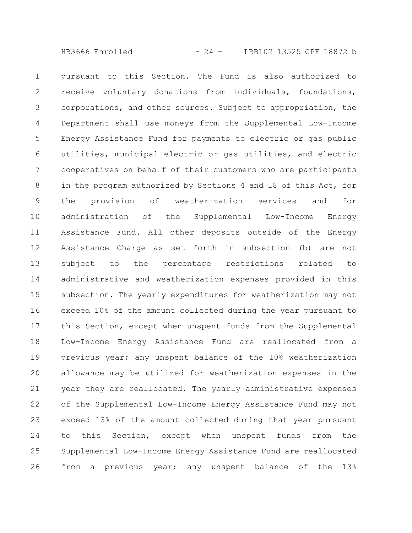pursuant to this Section. The Fund is also authorized to receive voluntary donations from individuals, foundations, corporations, and other sources. Subject to appropriation, the Department shall use moneys from the Supplemental Low-Income Energy Assistance Fund for payments to electric or gas public utilities, municipal electric or gas utilities, and electric cooperatives on behalf of their customers who are participants in the program authorized by Sections 4 and 18 of this Act, for the provision of weatherization services and for administration of the Supplemental Low-Income Energy Assistance Fund. All other deposits outside of the Energy Assistance Charge as set forth in subsection (b) are not subject to the percentage restrictions related to administrative and weatherization expenses provided in this subsection. The yearly expenditures for weatherization may not exceed 10% of the amount collected during the year pursuant to this Section, except when unspent funds from the Supplemental Low-Income Energy Assistance Fund are reallocated from a previous year; any unspent balance of the 10% weatherization allowance may be utilized for weatherization expenses in the year they are reallocated. The yearly administrative expenses of the Supplemental Low-Income Energy Assistance Fund may not exceed 13% of the amount collected during that year pursuant to this Section, except when unspent funds from the Supplemental Low-Income Energy Assistance Fund are reallocated from a previous year; any unspent balance of the 13% 1 2 3 4 5 6 7 8 9 10 11 12 13 14 15 16 17 18 19 20 21 22 23 24 25 26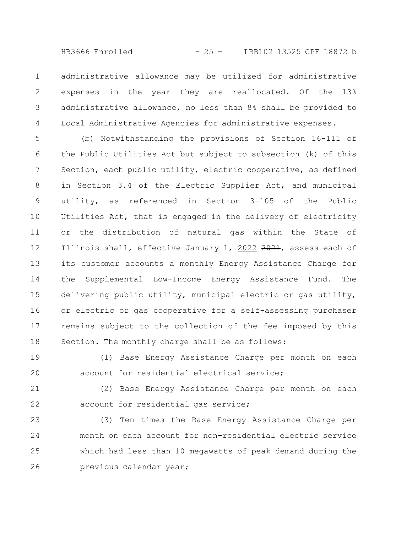HB3666 Enrolled - 25 - LRB102 13525 CPF 18872 b

administrative allowance may be utilized for administrative expenses in the year they are reallocated. Of the 13% administrative allowance, no less than 8% shall be provided to Local Administrative Agencies for administrative expenses. 1 2 3 4

(b) Notwithstanding the provisions of Section 16-111 of the Public Utilities Act but subject to subsection (k) of this Section, each public utility, electric cooperative, as defined in Section 3.4 of the Electric Supplier Act, and municipal utility, as referenced in Section 3-105 of the Public Utilities Act, that is engaged in the delivery of electricity or the distribution of natural gas within the State of Illinois shall, effective January 1, 2022 2021, assess each of its customer accounts a monthly Energy Assistance Charge for the Supplemental Low-Income Energy Assistance Fund. The delivering public utility, municipal electric or gas utility, or electric or gas cooperative for a self-assessing purchaser remains subject to the collection of the fee imposed by this Section. The monthly charge shall be as follows: 5 6 7 8 9 10 11 12 13 14 15 16 17 18

(1) Base Energy Assistance Charge per month on each account for residential electrical service; 19 20

(2) Base Energy Assistance Charge per month on each account for residential gas service; 21 22

(3) Ten times the Base Energy Assistance Charge per month on each account for non-residential electric service which had less than 10 megawatts of peak demand during the previous calendar year; 23 24 25 26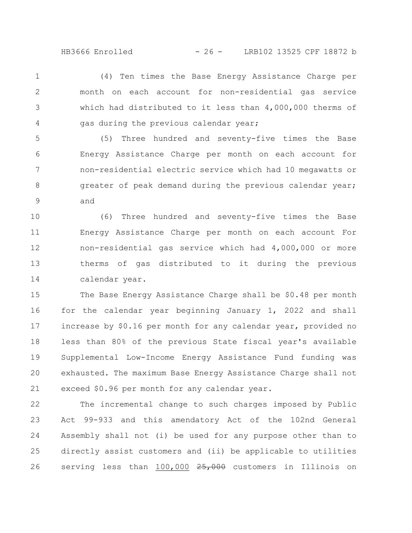(4) Ten times the Base Energy Assistance Charge per month on each account for non-residential gas service which had distributed to it less than 4,000,000 therms of gas during the previous calendar year; 1 2 3 4

(5) Three hundred and seventy-five times the Base Energy Assistance Charge per month on each account for non-residential electric service which had 10 megawatts or greater of peak demand during the previous calendar year; and 5 6 7 8 9

(6) Three hundred and seventy-five times the Base Energy Assistance Charge per month on each account For non-residential gas service which had 4,000,000 or more therms of gas distributed to it during the previous calendar year. 10 11 12 13 14

The Base Energy Assistance Charge shall be \$0.48 per month for the calendar year beginning January 1, 2022 and shall increase by \$0.16 per month for any calendar year, provided no less than 80% of the previous State fiscal year's available Supplemental Low-Income Energy Assistance Fund funding was exhausted. The maximum Base Energy Assistance Charge shall not exceed \$0.96 per month for any calendar year. 15 16 17 18 19 20 21

The incremental change to such charges imposed by Public Act 99-933 and this amendatory Act of the 102nd General Assembly shall not (i) be used for any purpose other than to directly assist customers and (ii) be applicable to utilities serving less than 100,000 25,000 customers in Illinois on 22 23 24 25 26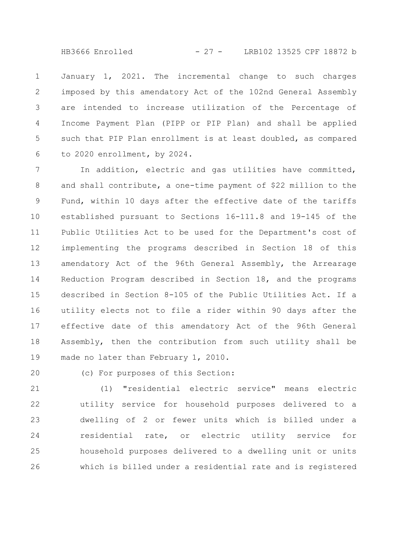HB3666 Enrolled - 27 - LRB102 13525 CPF 18872 b

January 1, 2021. The incremental change to such charges imposed by this amendatory Act of the 102nd General Assembly are intended to increase utilization of the Percentage of Income Payment Plan (PIPP or PIP Plan) and shall be applied such that PIP Plan enrollment is at least doubled, as compared to 2020 enrollment, by 2024. 1 2 3 4 5 6

In addition, electric and gas utilities have committed, and shall contribute, a one-time payment of \$22 million to the Fund, within 10 days after the effective date of the tariffs established pursuant to Sections 16-111.8 and 19-145 of the Public Utilities Act to be used for the Department's cost of implementing the programs described in Section 18 of this amendatory Act of the 96th General Assembly, the Arrearage Reduction Program described in Section 18, and the programs described in Section 8-105 of the Public Utilities Act. If a utility elects not to file a rider within 90 days after the effective date of this amendatory Act of the 96th General Assembly, then the contribution from such utility shall be made no later than February 1, 2010. 7 8 9 10 11 12 13 14 15 16 17 18 19

20

(c) For purposes of this Section:

(1) "residential electric service" means electric utility service for household purposes delivered to a dwelling of 2 or fewer units which is billed under a residential rate, or electric utility service for household purposes delivered to a dwelling unit or units which is billed under a residential rate and is registered 21 22 23 24 25 26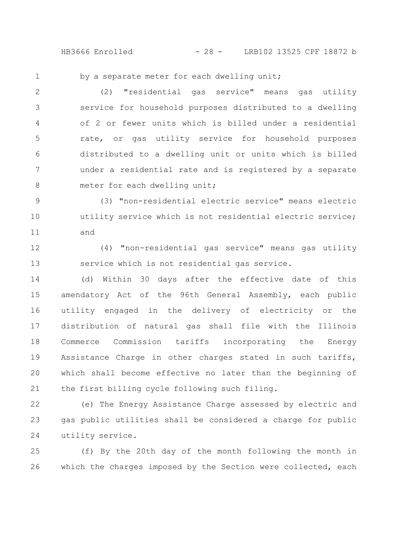HB3666 Enrolled - 28 - LRB102 13525 CPF 18872 b

1

by a separate meter for each dwelling unit;

(2) "residential gas service" means gas utility service for household purposes distributed to a dwelling of 2 or fewer units which is billed under a residential rate, or gas utility service for household purposes distributed to a dwelling unit or units which is billed under a residential rate and is registered by a separate meter for each dwelling unit; 2 3 4 5 6 7 8

(3) "non-residential electric service" means electric utility service which is not residential electric service; and 9 10 11

(4) "non-residential gas service" means gas utility service which is not residential gas service. 12 13

(d) Within 30 days after the effective date of this amendatory Act of the 96th General Assembly, each public utility engaged in the delivery of electricity or the distribution of natural gas shall file with the Illinois Commerce Commission tariffs incorporating the Energy Assistance Charge in other charges stated in such tariffs, which shall become effective no later than the beginning of the first billing cycle following such filing. 14 15 16 17 18 19 20 21

(e) The Energy Assistance Charge assessed by electric and gas public utilities shall be considered a charge for public utility service. 22 23 24

(f) By the 20th day of the month following the month in which the charges imposed by the Section were collected, each 25 26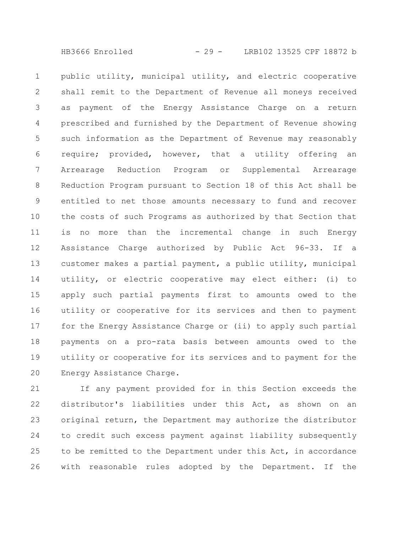HB3666 Enrolled - 29 - LRB102 13525 CPF 18872 b

public utility, municipal utility, and electric cooperative shall remit to the Department of Revenue all moneys received as payment of the Energy Assistance Charge on a return prescribed and furnished by the Department of Revenue showing such information as the Department of Revenue may reasonably require; provided, however, that a utility offering an Arrearage Reduction Program or Supplemental Arrearage Reduction Program pursuant to Section 18 of this Act shall be entitled to net those amounts necessary to fund and recover the costs of such Programs as authorized by that Section that is no more than the incremental change in such Energy Assistance Charge authorized by Public Act 96-33. If a customer makes a partial payment, a public utility, municipal utility, or electric cooperative may elect either: (i) to apply such partial payments first to amounts owed to the utility or cooperative for its services and then to payment for the Energy Assistance Charge or (ii) to apply such partial payments on a pro-rata basis between amounts owed to the utility or cooperative for its services and to payment for the Energy Assistance Charge. 1 2 3 4 5 6 7 8 9 10 11 12 13 14 15 16 17 18 19 20

If any payment provided for in this Section exceeds the distributor's liabilities under this Act, as shown on an original return, the Department may authorize the distributor to credit such excess payment against liability subsequently to be remitted to the Department under this Act, in accordance with reasonable rules adopted by the Department. If the 21 22 23 24 25 26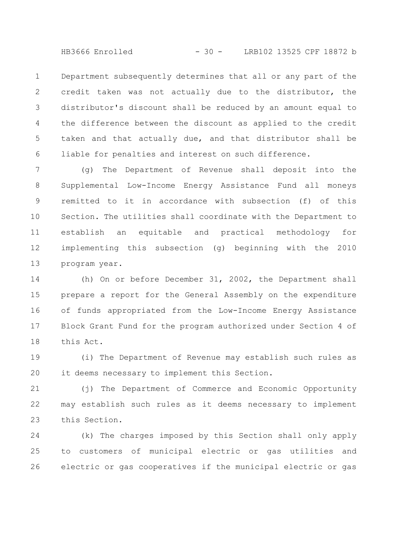HB3666 Enrolled - 30 - LRB102 13525 CPF 18872 b

Department subsequently determines that all or any part of the credit taken was not actually due to the distributor, the distributor's discount shall be reduced by an amount equal to the difference between the discount as applied to the credit taken and that actually due, and that distributor shall be liable for penalties and interest on such difference. 1 2 3 4 5 6

(g) The Department of Revenue shall deposit into the Supplemental Low-Income Energy Assistance Fund all moneys remitted to it in accordance with subsection (f) of this Section. The utilities shall coordinate with the Department to establish an equitable and practical methodology for implementing this subsection (g) beginning with the 2010 program year. 7 8 9 10 11 12 13

(h) On or before December 31, 2002, the Department shall prepare a report for the General Assembly on the expenditure of funds appropriated from the Low-Income Energy Assistance Block Grant Fund for the program authorized under Section 4 of this Act. 14 15 16 17 18

(i) The Department of Revenue may establish such rules as it deems necessary to implement this Section. 19 20

(j) The Department of Commerce and Economic Opportunity may establish such rules as it deems necessary to implement this Section. 21 22 23

(k) The charges imposed by this Section shall only apply to customers of municipal electric or gas utilities and electric or gas cooperatives if the municipal electric or gas 24 25 26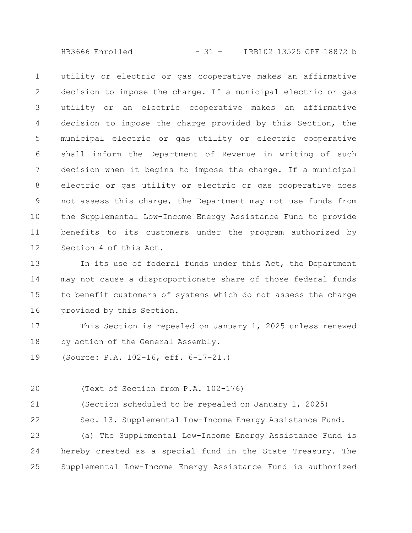HB3666 Enrolled - 31 - LRB102 13525 CPF 18872 b

utility or electric or gas cooperative makes an affirmative decision to impose the charge. If a municipal electric or gas utility or an electric cooperative makes an affirmative decision to impose the charge provided by this Section, the municipal electric or gas utility or electric cooperative shall inform the Department of Revenue in writing of such decision when it begins to impose the charge. If a municipal electric or gas utility or electric or gas cooperative does not assess this charge, the Department may not use funds from the Supplemental Low-Income Energy Assistance Fund to provide benefits to its customers under the program authorized by Section 4 of this Act. 1 2 3 4 5 6 7 8 9 10 11 12

In its use of federal funds under this Act, the Department may not cause a disproportionate share of those federal funds to benefit customers of systems which do not assess the charge provided by this Section. 13 14 15 16

This Section is repealed on January 1, 2025 unless renewed by action of the General Assembly. 17 18

(Source: P.A. 102-16, eff. 6-17-21.) 19

(Text of Section from P.A. 102-176) 20

(Section scheduled to be repealed on January 1, 2025) 21

Sec. 13. Supplemental Low-Income Energy Assistance Fund. 22

(a) The Supplemental Low-Income Energy Assistance Fund is hereby created as a special fund in the State Treasury. The Supplemental Low-Income Energy Assistance Fund is authorized 23 24 25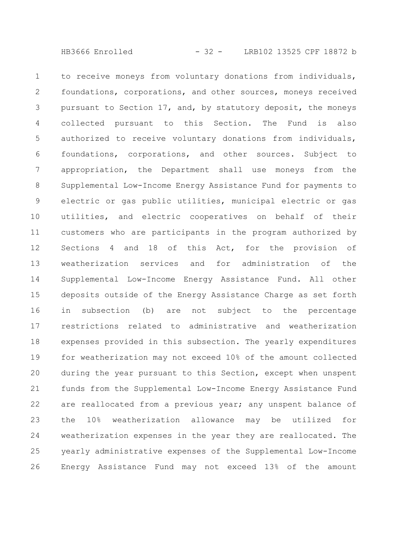HB3666 Enrolled - 32 - LRB102 13525 CPF 18872 b

to receive moneys from voluntary donations from individuals, foundations, corporations, and other sources, moneys received pursuant to Section 17, and, by statutory deposit, the moneys collected pursuant to this Section. The Fund is also authorized to receive voluntary donations from individuals, foundations, corporations, and other sources. Subject to appropriation, the Department shall use moneys from the Supplemental Low-Income Energy Assistance Fund for payments to electric or gas public utilities, municipal electric or gas utilities, and electric cooperatives on behalf of their customers who are participants in the program authorized by Sections 4 and 18 of this Act, for the provision of weatherization services and for administration of the Supplemental Low-Income Energy Assistance Fund. All other deposits outside of the Energy Assistance Charge as set forth in subsection (b) are not subject to the percentage restrictions related to administrative and weatherization expenses provided in this subsection. The yearly expenditures for weatherization may not exceed 10% of the amount collected during the year pursuant to this Section, except when unspent funds from the Supplemental Low-Income Energy Assistance Fund are reallocated from a previous year; any unspent balance of the 10% weatherization allowance may be utilized for weatherization expenses in the year they are reallocated. The yearly administrative expenses of the Supplemental Low-Income Energy Assistance Fund may not exceed 13% of the amount 1 2 3 4 5 6 7 8 9 10 11 12 13 14 15 16 17 18 19 20 21 22 23 24 25 26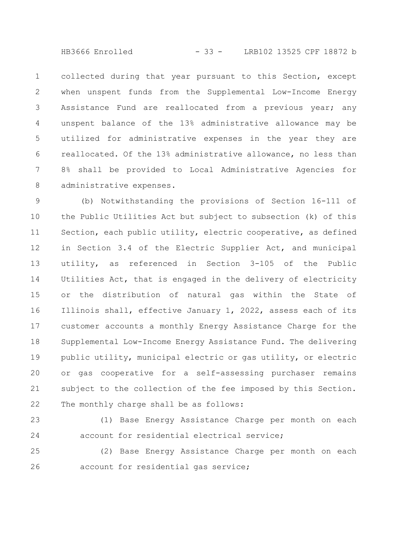HB3666 Enrolled - 33 - LRB102 13525 CPF 18872 b

collected during that year pursuant to this Section, except when unspent funds from the Supplemental Low-Income Energy Assistance Fund are reallocated from a previous year; any unspent balance of the 13% administrative allowance may be utilized for administrative expenses in the year they are reallocated. Of the 13% administrative allowance, no less than 8% shall be provided to Local Administrative Agencies for administrative expenses. 1 2 3 4 5 6 7 8

(b) Notwithstanding the provisions of Section 16-111 of the Public Utilities Act but subject to subsection (k) of this Section, each public utility, electric cooperative, as defined in Section 3.4 of the Electric Supplier Act, and municipal utility, as referenced in Section 3-105 of the Public Utilities Act, that is engaged in the delivery of electricity or the distribution of natural gas within the State of Illinois shall, effective January 1, 2022, assess each of its customer accounts a monthly Energy Assistance Charge for the Supplemental Low-Income Energy Assistance Fund. The delivering public utility, municipal electric or gas utility, or electric or gas cooperative for a self-assessing purchaser remains subject to the collection of the fee imposed by this Section. The monthly charge shall be as follows: 9 10 11 12 13 14 15 16 17 18 19 20 21 22

(1) Base Energy Assistance Charge per month on each account for residential electrical service; 23 24

(2) Base Energy Assistance Charge per month on each account for residential gas service; 25 26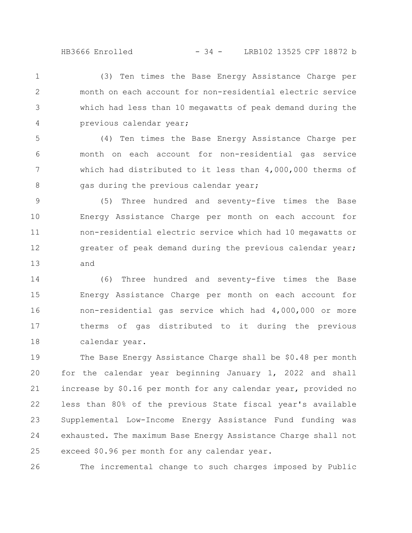(3) Ten times the Base Energy Assistance Charge per month on each account for non-residential electric service which had less than 10 megawatts of peak demand during the previous calendar year; 1 2 3 4

(4) Ten times the Base Energy Assistance Charge per month on each account for non-residential gas service which had distributed to it less than 4,000,000 therms of gas during the previous calendar year; 5 6 7 8

(5) Three hundred and seventy-five times the Base Energy Assistance Charge per month on each account for non-residential electric service which had 10 megawatts or greater of peak demand during the previous calendar year; and 9 10 11 12 13

(6) Three hundred and seventy-five times the Base Energy Assistance Charge per month on each account for non-residential gas service which had 4,000,000 or more therms of gas distributed to it during the previous calendar year. 14 15 16 17 18

The Base Energy Assistance Charge shall be \$0.48 per month for the calendar year beginning January 1, 2022 and shall increase by \$0.16 per month for any calendar year, provided no less than 80% of the previous State fiscal year's available Supplemental Low-Income Energy Assistance Fund funding was exhausted. The maximum Base Energy Assistance Charge shall not exceed \$0.96 per month for any calendar year. 19 20 21 22 23 24 25

The incremental change to such charges imposed by Public 26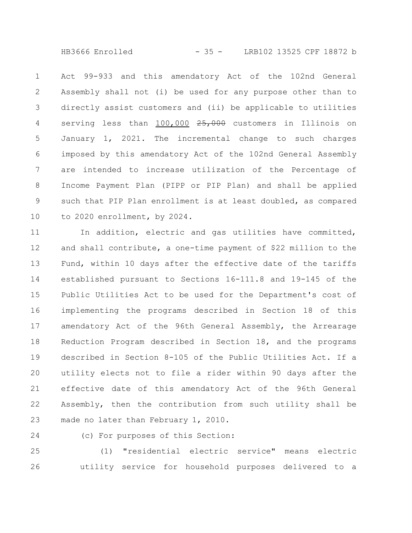HB3666 Enrolled - 35 - LRB102 13525 CPF 18872 b

Act 99-933 and this amendatory Act of the 102nd General Assembly shall not (i) be used for any purpose other than to directly assist customers and (ii) be applicable to utilities serving less than 100,000 25,000 customers in Illinois on January 1, 2021. The incremental change to such charges imposed by this amendatory Act of the 102nd General Assembly are intended to increase utilization of the Percentage of Income Payment Plan (PIPP or PIP Plan) and shall be applied such that PIP Plan enrollment is at least doubled, as compared to 2020 enrollment, by 2024. 1 2 3 4 5 6 7 8 9 10

In addition, electric and gas utilities have committed, and shall contribute, a one-time payment of \$22 million to the Fund, within 10 days after the effective date of the tariffs established pursuant to Sections 16-111.8 and 19-145 of the Public Utilities Act to be used for the Department's cost of implementing the programs described in Section 18 of this amendatory Act of the 96th General Assembly, the Arrearage Reduction Program described in Section 18, and the programs described in Section 8-105 of the Public Utilities Act. If a utility elects not to file a rider within 90 days after the effective date of this amendatory Act of the 96th General Assembly, then the contribution from such utility shall be made no later than February 1, 2010. 11 12 13 14 15 16 17 18 19 20 21 22 23

24

(c) For purposes of this Section:

(1) "residential electric service" means electric utility service for household purposes delivered to a 25 26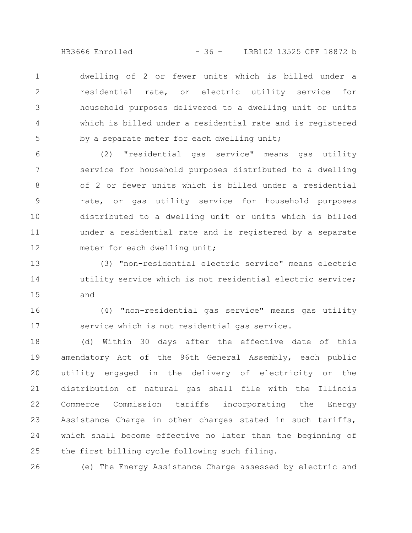HB3666 Enrolled - 36 - LRB102 13525 CPF 18872 b

dwelling of 2 or fewer units which is billed under a residential rate, or electric utility service for household purposes delivered to a dwelling unit or units which is billed under a residential rate and is registered by a separate meter for each dwelling unit; 1 2 3 4 5

(2) "residential gas service" means gas utility service for household purposes distributed to a dwelling of 2 or fewer units which is billed under a residential rate, or gas utility service for household purposes distributed to a dwelling unit or units which is billed under a residential rate and is registered by a separate meter for each dwelling unit; 6 7 8 9 10 11 12

(3) "non-residential electric service" means electric utility service which is not residential electric service; and 13 14 15

(4) "non-residential gas service" means gas utility service which is not residential gas service. 16 17

(d) Within 30 days after the effective date of this amendatory Act of the 96th General Assembly, each public utility engaged in the delivery of electricity or the distribution of natural gas shall file with the Illinois Commerce Commission tariffs incorporating the Energy Assistance Charge in other charges stated in such tariffs, which shall become effective no later than the beginning of the first billing cycle following such filing. 18 19 20 21 22 23 24 25

(e) The Energy Assistance Charge assessed by electric and 26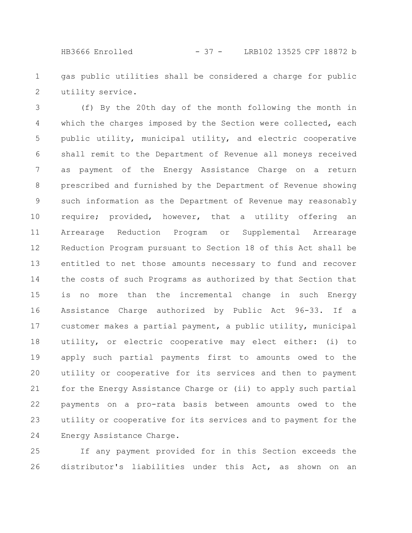HB3666 Enrolled - 37 - LRB102 13525 CPF 18872 b

gas public utilities shall be considered a charge for public utility service. 1 2

(f) By the 20th day of the month following the month in which the charges imposed by the Section were collected, each public utility, municipal utility, and electric cooperative shall remit to the Department of Revenue all moneys received as payment of the Energy Assistance Charge on a return prescribed and furnished by the Department of Revenue showing such information as the Department of Revenue may reasonably require; provided, however, that a utility offering an Arrearage Reduction Program or Supplemental Arrearage Reduction Program pursuant to Section 18 of this Act shall be entitled to net those amounts necessary to fund and recover the costs of such Programs as authorized by that Section that is no more than the incremental change in such Energy Assistance Charge authorized by Public Act 96-33. If a customer makes a partial payment, a public utility, municipal utility, or electric cooperative may elect either: (i) to apply such partial payments first to amounts owed to the utility or cooperative for its services and then to payment for the Energy Assistance Charge or (ii) to apply such partial payments on a pro-rata basis between amounts owed to the utility or cooperative for its services and to payment for the Energy Assistance Charge. 3 4 5 6 7 8 9 10 11 12 13 14 15 16 17 18 19 20 21 22 23 24

If any payment provided for in this Section exceeds the distributor's liabilities under this Act, as shown on an 25 26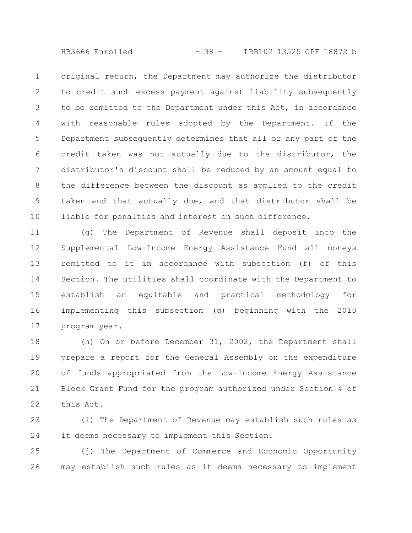HB3666 Enrolled - 38 - LRB102 13525 CPF 18872 b

original return, the Department may authorize the distributor to credit such excess payment against liability subsequently to be remitted to the Department under this Act, in accordance with reasonable rules adopted by the Department. If the Department subsequently determines that all or any part of the credit taken was not actually due to the distributor, the distributor's discount shall be reduced by an amount equal to the difference between the discount as applied to the credit taken and that actually due, and that distributor shall be liable for penalties and interest on such difference. 1 2 3 4 5 6 7 8 9 10

(g) The Department of Revenue shall deposit into the Supplemental Low-Income Energy Assistance Fund all moneys remitted to it in accordance with subsection (f) of this Section. The utilities shall coordinate with the Department to establish an equitable and practical methodology for implementing this subsection (g) beginning with the 2010 program year. 11 12 13 14 15 16 17

(h) On or before December 31, 2002, the Department shall prepare a report for the General Assembly on the expenditure of funds appropriated from the Low-Income Energy Assistance Block Grant Fund for the program authorized under Section 4 of this Act. 18 19 20 21 22

(i) The Department of Revenue may establish such rules as it deems necessary to implement this Section. 23 24

(j) The Department of Commerce and Economic Opportunity may establish such rules as it deems necessary to implement 25 26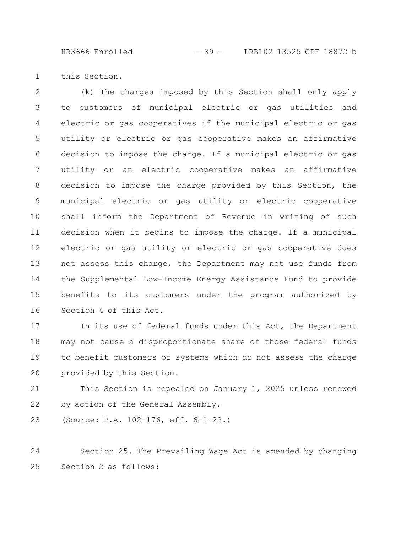HB3666 Enrolled - 39 - LRB102 13525 CPF 18872 b

this Section. 1

(k) The charges imposed by this Section shall only apply to customers of municipal electric or gas utilities and electric or gas cooperatives if the municipal electric or gas utility or electric or gas cooperative makes an affirmative decision to impose the charge. If a municipal electric or gas utility or an electric cooperative makes an affirmative decision to impose the charge provided by this Section, the municipal electric or gas utility or electric cooperative shall inform the Department of Revenue in writing of such decision when it begins to impose the charge. If a municipal electric or gas utility or electric or gas cooperative does not assess this charge, the Department may not use funds from the Supplemental Low-Income Energy Assistance Fund to provide benefits to its customers under the program authorized by Section 4 of this Act. 2 3 4 5 6 7 8 9 10 11 12 13 14 15 16

In its use of federal funds under this Act, the Department may not cause a disproportionate share of those federal funds to benefit customers of systems which do not assess the charge provided by this Section. 17 18 19 20

This Section is repealed on January 1, 2025 unless renewed by action of the General Assembly. 21 22

(Source: P.A. 102-176, eff. 6-1-22.) 23

Section 25. The Prevailing Wage Act is amended by changing Section 2 as follows: 24 25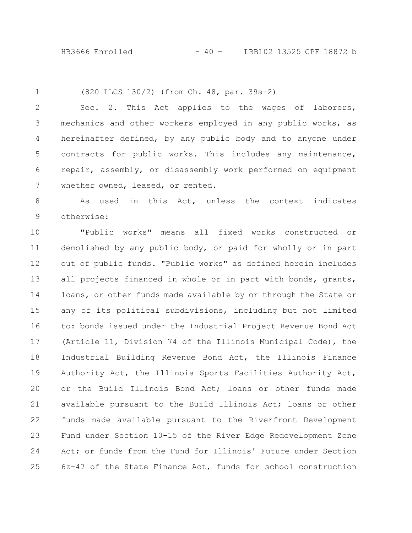HB3666 Enrolled - 40 - LRB102 13525 CPF 18872 b

1

(820 ILCS 130/2) (from Ch. 48, par. 39s-2)

Sec. 2. This Act applies to the wages of laborers, mechanics and other workers employed in any public works, as hereinafter defined, by any public body and to anyone under contracts for public works. This includes any maintenance, repair, assembly, or disassembly work performed on equipment whether owned, leased, or rented. 2 3 4 5 6 7

As used in this Act, unless the context indicates otherwise: 8 9

"Public works" means all fixed works constructed or demolished by any public body, or paid for wholly or in part out of public funds. "Public works" as defined herein includes all projects financed in whole or in part with bonds, grants, loans, or other funds made available by or through the State or any of its political subdivisions, including but not limited to: bonds issued under the Industrial Project Revenue Bond Act (Article 11, Division 74 of the Illinois Municipal Code), the Industrial Building Revenue Bond Act, the Illinois Finance Authority Act, the Illinois Sports Facilities Authority Act, or the Build Illinois Bond Act; loans or other funds made available pursuant to the Build Illinois Act; loans or other funds made available pursuant to the Riverfront Development Fund under Section 10-15 of the River Edge Redevelopment Zone Act; or funds from the Fund for Illinois' Future under Section 6z-47 of the State Finance Act, funds for school construction 10 11 12 13 14 15 16 17 18 19 20 21 22 23 24 25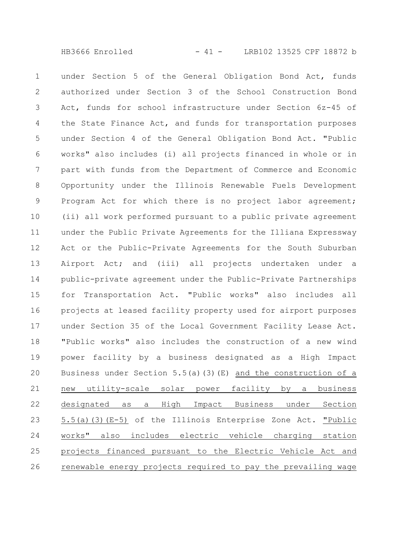under Section 5 of the General Obligation Bond Act, funds authorized under Section 3 of the School Construction Bond Act, funds for school infrastructure under Section 6z-45 of the State Finance Act, and funds for transportation purposes under Section 4 of the General Obligation Bond Act. "Public works" also includes (i) all projects financed in whole or in part with funds from the Department of Commerce and Economic Opportunity under the Illinois Renewable Fuels Development Program Act for which there is no project labor agreement; (ii) all work performed pursuant to a public private agreement under the Public Private Agreements for the Illiana Expressway Act or the Public-Private Agreements for the South Suburban Airport Act; and (iii) all projects undertaken under a public-private agreement under the Public-Private Partnerships for Transportation Act. "Public works" also includes all projects at leased facility property used for airport purposes under Section 35 of the Local Government Facility Lease Act. "Public works" also includes the construction of a new wind power facility by a business designated as a High Impact Business under Section 5.5(a)(3)(E) and the construction of a new utility-scale solar power facility by a business designated as a High Impact Business under Section 5.5(a)(3)(E-5) of the Illinois Enterprise Zone Act. "Public works" also includes electric vehicle charging station projects financed pursuant to the Electric Vehicle Act and renewable energy projects required to pay the prevailing wage 1 2 3 4 5 6 7 8 9 10 11 12 13 14 15 16 17 18 19 20 21 22 23 24 25 26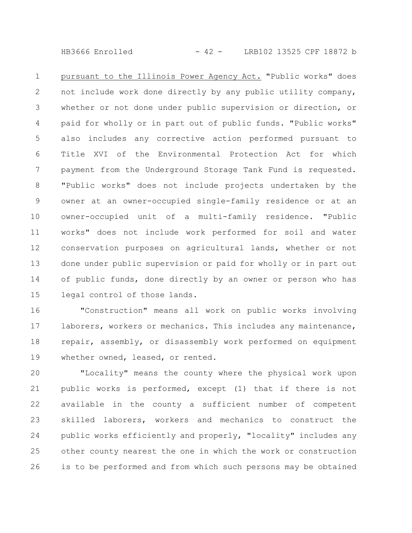$HB3666$  Enrolled  $-42 -$  LRB102 13525 CPF 18872 b

pursuant to the Illinois Power Agency Act. "Public works" does not include work done directly by any public utility company, whether or not done under public supervision or direction, or paid for wholly or in part out of public funds. "Public works" also includes any corrective action performed pursuant to Title XVI of the Environmental Protection Act for which payment from the Underground Storage Tank Fund is requested. "Public works" does not include projects undertaken by the owner at an owner-occupied single-family residence or at an owner-occupied unit of a multi-family residence. "Public works" does not include work performed for soil and water conservation purposes on agricultural lands, whether or not done under public supervision or paid for wholly or in part out of public funds, done directly by an owner or person who has legal control of those lands. 1 2 3 4 5 6 7 8 9 10 11 12 13 14 15

"Construction" means all work on public works involving laborers, workers or mechanics. This includes any maintenance, repair, assembly, or disassembly work performed on equipment whether owned, leased, or rented. 16 17 18 19

"Locality" means the county where the physical work upon public works is performed, except (1) that if there is not available in the county a sufficient number of competent skilled laborers, workers and mechanics to construct the public works efficiently and properly, "locality" includes any other county nearest the one in which the work or construction is to be performed and from which such persons may be obtained 20 21 22 23 24 25 26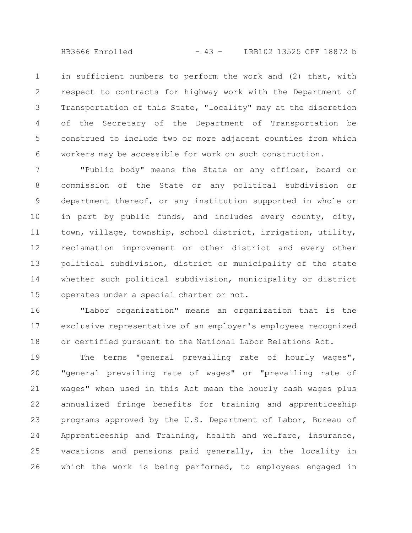HB3666 Enrolled - 43 - LRB102 13525 CPF 18872 b

in sufficient numbers to perform the work and (2) that, with respect to contracts for highway work with the Department of Transportation of this State, "locality" may at the discretion of the Secretary of the Department of Transportation be construed to include two or more adjacent counties from which workers may be accessible for work on such construction. 1 2 3 4 5 6

"Public body" means the State or any officer, board or commission of the State or any political subdivision or department thereof, or any institution supported in whole or in part by public funds, and includes every county, city, town, village, township, school district, irrigation, utility, reclamation improvement or other district and every other political subdivision, district or municipality of the state whether such political subdivision, municipality or district operates under a special charter or not. 7 8 9 10 11 12 13 14 15

"Labor organization" means an organization that is the exclusive representative of an employer's employees recognized or certified pursuant to the National Labor Relations Act. 16 17 18

The terms "general prevailing rate of hourly wages", "general prevailing rate of wages" or "prevailing rate of wages" when used in this Act mean the hourly cash wages plus annualized fringe benefits for training and apprenticeship programs approved by the U.S. Department of Labor, Bureau of Apprenticeship and Training, health and welfare, insurance, vacations and pensions paid generally, in the locality in which the work is being performed, to employees engaged in 19 20 21 22 23 24 25 26